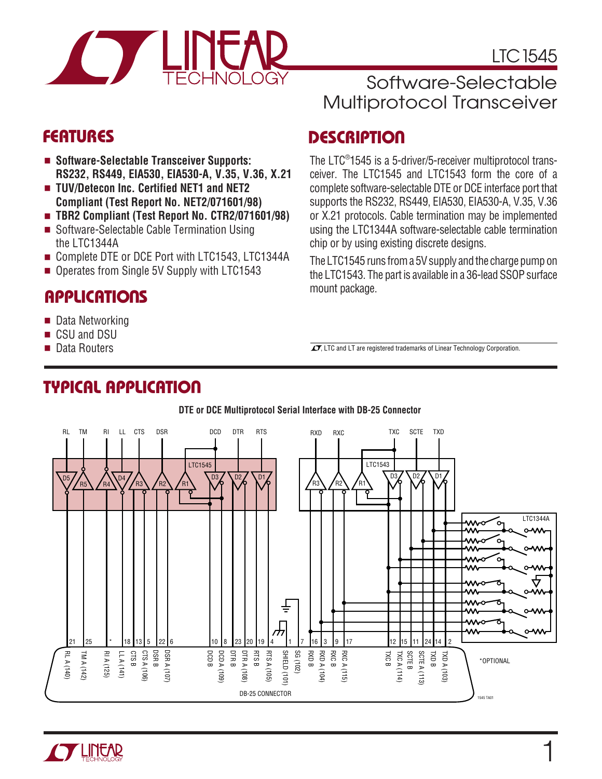

LTC1545

## Software-Selectable Multiprotocol Transceiver

- **Software-Selectable Transceiver Supports: RS232, RS449, EIA530, EIA530-A, V.35, V.36, X.21**
- **TUV/Detecon Inc. Certified NET1 and NET2 Compliant (Test Report No. NET2/071601/98)**
- **TBR2 Compliant (Test Report No. CTR2/071601/98)**
- Software-Selectable Cable Termination Using the LTC1344A
- Complete DTE or DCE Port with LTC1543, LTC1344A
- Operates from Single 5V Supply with LTC1543

## **APPLICATIONS**

**TYPICAL APPLICATIO U**

- Data Networking
- CSU and DSU
- Data Routers

## **FEATURES DESCRIPTIO <sup>U</sup>**

The LTC® 1545 is a 5-driver/5-receiver multiprotocol transceiver. The LTC1545 and LTC1543 form the core of a complete software-selectable DTE or DCE interface port that supports the RS232, RS449, EIA530, EIA530-A, V.35, V.36 or X.21 protocols. Cable termination may be implemented using the LTC1344A software-selectable cable termination chip or by using existing discrete designs.

The LTC1545 runs from a 5V supply and the charge pump on the LTC1543. The part is available in a 36-lead SSOP surface mount package.

 $\sqrt{J}$ , LTC and LT are registered trademarks of Linear Technology Corporation.



#### **DTE or DCE Multiprotocol Serial Interface with DB-25 Connector**

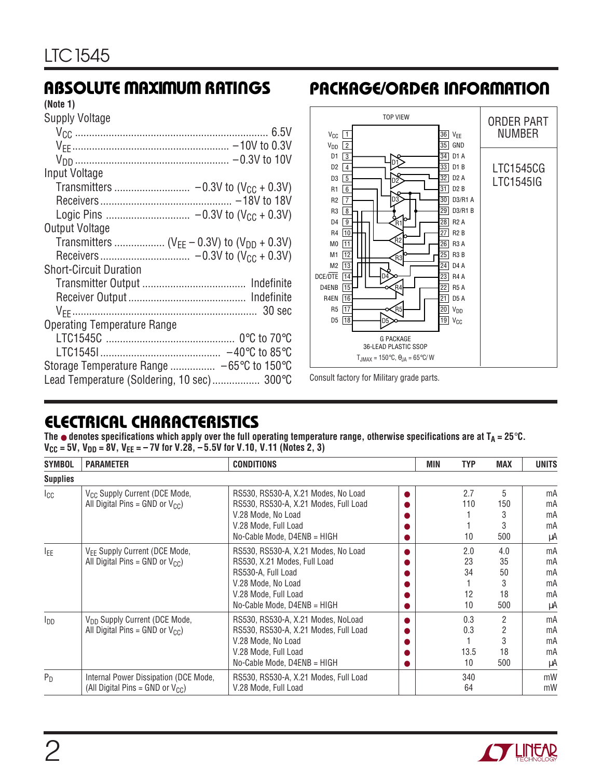#### **(Note 1)**

Supply Voltage

| Input Voltage                              |  |
|--------------------------------------------|--|
|                                            |  |
|                                            |  |
|                                            |  |
| <b>Output Voltage</b>                      |  |
|                                            |  |
|                                            |  |
| <b>Short-Circuit Duration</b>              |  |
|                                            |  |
|                                            |  |
|                                            |  |
| <b>Operating Temperature Range</b>         |  |
|                                            |  |
|                                            |  |
| Storage Temperature Range  -65°C to 150°C  |  |
| Lead Temperature (Soldering, 10 sec) 300°C |  |

## **ABSOLUTE MAXIMUM RATINGS <sup>W</sup> <sup>W</sup> <sup>W</sup> <sup>U</sup> PACKAGE/ORDER INFORMATION <sup>U</sup> <sup>W</sup> <sup>U</sup>**



Consult factory for Military grade parts.

## **ELECTRICAL CHARACTERISTICS**

**The** ● **denotes specifications which apply over the full operating temperature range, otherwise specifications are at TA = 25**°**C.** V<sub>CC</sub> = 5V, V<sub>DD</sub> = 8V, V<sub>EE</sub> = – 7V for V.28, –5.5V for V.10, V.11 (Notes 2, 3)

| <b>SYMBOL</b>          | <b>PARAMETER</b>                                                                  | <b>CONDITIONS</b>                                                                                                                                                      | MIN | <b>TYP</b>                  | <b>MAX</b>                   | <b>UNITS</b>                     |
|------------------------|-----------------------------------------------------------------------------------|------------------------------------------------------------------------------------------------------------------------------------------------------------------------|-----|-----------------------------|------------------------------|----------------------------------|
| <b>Supplies</b>        |                                                                                   |                                                                                                                                                                        |     |                             |                              |                                  |
| $I_{\text{CC}}$        | V <sub>CC</sub> Supply Current (DCE Mode,<br>All Digital Pins = GND or $V_{CC}$ ) | RS530, RS530-A, X.21 Modes, No Load<br>RS530, RS530-A, X.21 Modes, Full Load<br>V.28 Mode, No Load<br>V.28 Mode, Full Load<br>No-Cable Mode, D4ENB = HIGH              |     | 2.7<br>110<br>10            | 5<br>150<br>3<br>3<br>500    | mA<br>mA<br>mA<br>mA<br>μA       |
| IFF                    | V <sub>EE</sub> Supply Current (DCE Mode,<br>All Digital Pins = GND or $V_{CC}$ ) | RS530, RS530-A, X.21 Modes, No Load<br>RS530, X.21 Modes, Full Load<br>RS530-A, Full Load<br>V.28 Mode, No Load<br>V.28 Mode, Full Load<br>No-Cable Mode, D4ENB = HIGH |     | 2.0<br>23<br>34<br>12<br>10 | 4.0<br>35<br>50<br>18<br>500 | mA<br>mA<br>mA<br>mA<br>mA<br>μA |
| <b>I</b> <sub>DD</sub> | V <sub>DD</sub> Supply Current (DCE Mode,<br>All Digital Pins = GND or $V_{CC}$ ) | RS530, RS530-A, X.21 Modes, NoLoad<br>RS530, RS530-A, X.21 Modes, Full Load<br>V.28 Mode, No Load<br>V.28 Mode, Full Load<br>No-Cable Mode, D4ENB = HIGH               |     | 0.3<br>0.3<br>13.5<br>10    | 2<br>2<br>3<br>18<br>500     | mA<br>mA<br>mA<br>mA<br>μA       |
| $P_D$                  | Internal Power Dissipation (DCE Mode,<br>(All Digital Pins = GND or $V_{CC}$ )    | RS530, RS530-A, X.21 Modes, Full Load<br>V.28 Mode, Full Load                                                                                                          |     | 340<br>64                   |                              | mW<br>mW                         |

![](_page_1_Picture_11.jpeg)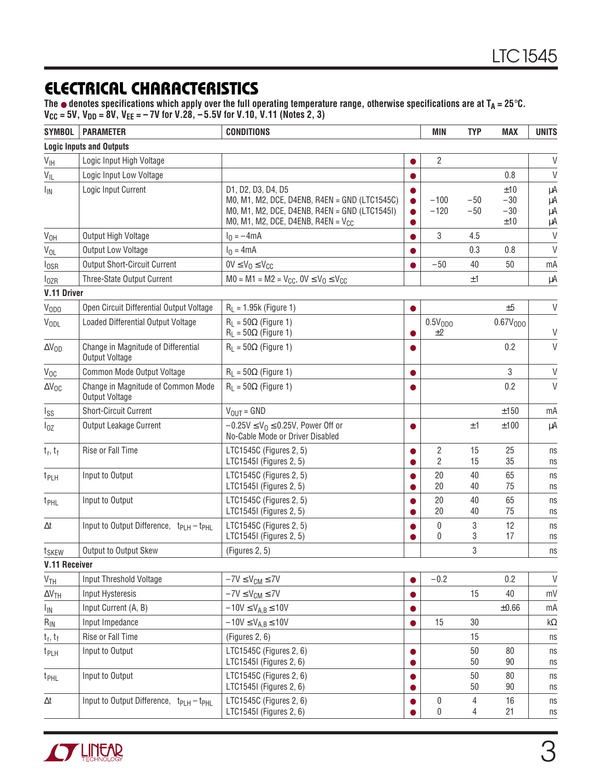## **ELECTRICAL CHARACTERISTICS**

The ● denotes specifications which apply over the full operating temperature range, otherwise specifications are at T<sub>A</sub> = 25°C. **VCC = 5V, VDD = 8V, VEE = – 7V for V.28, – 5.5V for V.10, V.11 (Notes 2, 3)**

| <b>SYMBOL</b>         | <b>PARAMETER</b>                                                 | <b>CONDITIONS</b>                                                                                                                                               |           | MIN                       | <b>TYP</b>     | <b>MAX</b>                   | <b>UNITS</b>         |
|-----------------------|------------------------------------------------------------------|-----------------------------------------------------------------------------------------------------------------------------------------------------------------|-----------|---------------------------|----------------|------------------------------|----------------------|
|                       | <b>Logic Inputs and Outputs</b>                                  |                                                                                                                                                                 |           |                           |                |                              |                      |
| $V_{\text{IH}}$       | Logic Input High Voltage                                         |                                                                                                                                                                 |           | $\overline{2}$            |                |                              | $\vee$               |
| $V_{IL}$              | Logic Input Low Voltage                                          |                                                                                                                                                                 |           |                           |                | 0.8                          | $\vee$               |
| <b>I<sub>IN</sub></b> | Logic Input Current                                              | D1, D2, D3, D4, D5<br>M0, M1, M2, DCE, D4ENB, R4EN = GND (LTC1545C)<br>M0, M1, M2, DCE, D4ENB, R4EN = GND (LTC1545I)<br>M0, M1, M2, DCE, D4ENB, R4EN = $V_{CC}$ |           | $-100$<br>$-120$          | $-50$<br>$-50$ | ±10<br>$-30$<br>$-30$<br>±10 | μA<br>μA<br>μA<br>μA |
| V <sub>OH</sub>       | Output High Voltage                                              | $I_0 = -4mA$                                                                                                                                                    | ●         | 3                         | 4.5            |                              | $\vee$               |
| $V_{OL}$              | Output Low Voltage                                               | $I_0 = 4mA$                                                                                                                                                     |           |                           | 0.3            | 0.8                          | $\vee$               |
| $I_{OSR}$             | <b>Output Short-Circuit Current</b>                              | $0V \leq V_0 \leq V_{CC}$                                                                                                                                       |           | $-50$                     | 40             | 50                           | mA                   |
| $I_{OZR}$             | Three-State Output Current                                       | $MO = M1 = M2 = V_{CC}, 0V \le V_0 \le V_{CC}$                                                                                                                  |           |                           | ±1             |                              | μA                   |
| V.11 Driver           |                                                                  |                                                                                                                                                                 |           |                           |                |                              |                      |
| V <sub>ODO</sub>      | Open Circuit Differential Output Voltage                         | $R_L = 1.95k$ (Figure 1)                                                                                                                                        | $\bullet$ |                           |                | ±5                           | $\vee$               |
| VODL                  | Loaded Differential Output Voltage                               | $R_1 = 50\Omega$ (Figure 1)<br>$R_L = 50\Omega$ (Figure 1)                                                                                                      |           | 0.5V <sub>0D0</sub><br>±2 |                | 0.67V <sub>0D0</sub>         | $\mathsf{V}$         |
| $\Delta V_{OD}$       | Change in Magnitude of Differential<br>Output Voltage            | $R_1 = 50\Omega$ (Figure 1)                                                                                                                                     |           |                           |                | 0.2                          | $\vee$               |
| $V_{OC}$              | Common Mode Output Voltage                                       | $R_L = 50\Omega$ (Figure 1)                                                                                                                                     | $\bullet$ |                           |                | $\mathbf{3}$                 | $\vee$               |
| $\Delta V_{OC}$       | Change in Magnitude of Common Mode<br><b>Output Voltage</b>      | $R_1 = 50\Omega$ (Figure 1)                                                                                                                                     |           |                           |                | 0.2                          | $\vee$               |
| Iss                   | <b>Short-Circuit Current</b>                                     | $V_{OUT} = GND$                                                                                                                                                 |           |                           |                | ±150                         | mA                   |
| $I_{0Z}$              | Output Leakage Current                                           | $-0.25V \leq V_0 \leq 0.25V$ , Power Off or<br>No-Cable Mode or Driver Disabled                                                                                 | $\bullet$ |                           | ±1             | ±100                         | μA                   |
| $t_r, t_f$            | Rise or Fall Time                                                | LTC1545C (Figures 2, 5)<br>LTC1545I (Figures 2, 5)                                                                                                              |           | 2<br>$\overline{2}$       | 15<br>15       | 25<br>35                     | ns<br>ns             |
| t <sub>PLH</sub>      | Input to Output                                                  | LTC1545C (Figures 2, 5)<br>LTC1545I (Figures 2, 5)                                                                                                              |           | 20<br>20                  | 40<br>40       | 65<br>75                     | ns<br>ns             |
| t <sub>PHL</sub>      | Input to Output                                                  | LTC1545C (Figures 2, 5)<br>LTC1545I (Figures 2, 5)                                                                                                              |           | 20<br>20                  | 40<br>40       | 65<br>75                     | ns<br>ns             |
| Δt                    | Input to Output Difference,  t <sub>PLH</sub> - t <sub>PHL</sub> | LTC1545C (Figures 2, 5)<br>LTC1545I (Figures 2, 5)                                                                                                              |           | 0<br>0                    | 3<br>3         | 12<br>17                     | ns<br>ns             |
| t <sub>SKEW</sub>     | Output to Output Skew                                            | (Figures 2, 5)                                                                                                                                                  |           |                           | 3              |                              | ns                   |
| <b>V.11 Receiver</b>  |                                                                  |                                                                                                                                                                 |           |                           |                |                              |                      |
| V <sub>TH</sub>       | Input Threshold Voltage                                          | $-7V \leq V_{CM} \leq 7V$                                                                                                                                       |           | $-0.2$                    |                | 0.2                          | $\vee$               |
| $\Delta V_{TH}$       | <b>Input Hysteresis</b>                                          | $-7V \leq V_{CM} \leq 7V$                                                                                                                                       |           |                           | 15             | 40                           | mV                   |
| I <sub>IN</sub>       | Input Current (A, B)                                             | $-10V \le V_{A,B} \le 10V$                                                                                                                                      |           |                           |                | $\pm 0.66$                   | mA                   |
| $R_{IN}$              | Input Impedance                                                  | $-10V \leq V_{A,B} \leq 10V$                                                                                                                                    | $\bullet$ | 15                        | 30             |                              | $k\Omega$            |
| $t_r, t_f$            | Rise or Fall Time                                                | (Figures 2, 6)                                                                                                                                                  |           |                           | 15             |                              | ns                   |
| t <sub>PLH</sub>      | Input to Output                                                  | LTC1545C (Figures 2, 6)<br>LTC1545I (Figures 2, 6)                                                                                                              | $\bullet$ |                           | 50<br>50       | 80<br>90                     | ns<br>ns             |
| t <sub>PHL</sub>      | Input to Output                                                  | LTC1545C (Figures 2, 6)<br>LTC1545I (Figures 2, 6)                                                                                                              |           |                           | 50<br>50       | 80<br>90                     | ns<br>ns             |
| $\Delta t$            | Input to Output Difference, $ t_{PLH} - t_{PHL} $                | LTC1545C (Figures 2, 6)<br>LTC1545I (Figures 2, 6)                                                                                                              |           | 0<br>0                    | 4<br>4         | 16<br>21                     | ns<br>ns             |

![](_page_2_Picture_4.jpeg)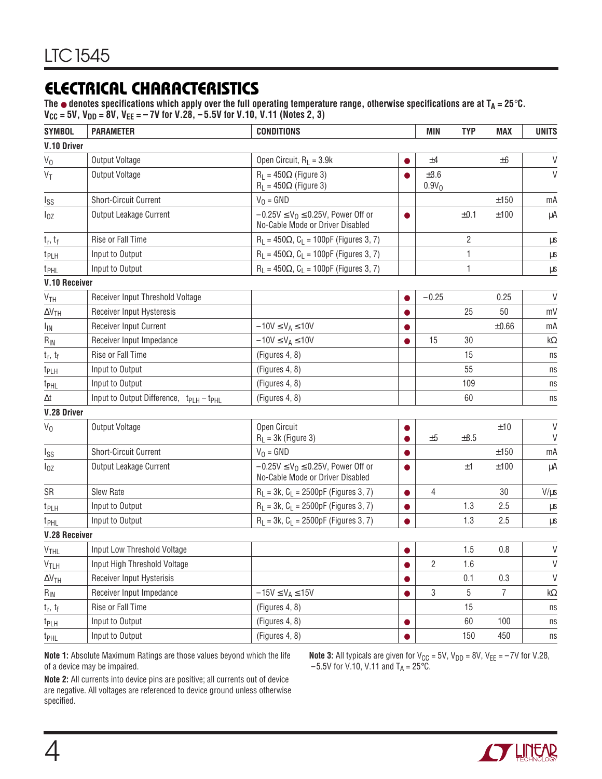## **ELECTRICAL CHARACTERISTICS**

The ● denotes specifications which apply over the full operating temperature range, otherwise specifications are at T<sub>A</sub> = 25°C. **VCC = 5V, VDD = 8V, VEE = – 7V for V.28, – 5.5V for V.10, V.11 (Notes 2, 3)**

| <b>SYMBOL</b>          | <b>PARAMETER</b>                                 | <b>CONDITIONS</b>                                                             |           | <b>MIN</b>                     | <b>TYP</b>     | <b>MAX</b>     | <b>UNITS</b>       |
|------------------------|--------------------------------------------------|-------------------------------------------------------------------------------|-----------|--------------------------------|----------------|----------------|--------------------|
| V.10 Driver            |                                                  |                                                                               |           |                                |                |                |                    |
| $V_0$                  | <b>Output Voltage</b>                            | Open Circuit, $R_L = 3.9k$                                                    |           | ±4                             |                | ±6             | $\vee$             |
| $V_T$                  | <b>Output Voltage</b>                            | $R_L = 450\Omega$ (Figure 3)<br>$R_1 = 450\Omega$ (Figure 3)                  |           | $\pm 3.6$<br>0.9V <sub>0</sub> |                |                | $\vee$             |
| lss                    | <b>Short-Circuit Current</b>                     | $V_0 = GND$                                                                   |           |                                |                | ±150           | mA                 |
| $I_{0Z}$               | Output Leakage Current                           | $-0.25V \le V_0 \le 0.25V$ , Power Off or<br>No-Cable Mode or Driver Disabled | 0         |                                | ±0.1           | ±100           | μA                 |
| $t_r, t_f$             | Rise or Fall Time                                | $R_L = 450\Omega$ , $C_L = 100pF$ (Figures 3, 7)                              |           |                                | $\overline{2}$ |                | $\mu s$            |
| t <sub>PLH</sub>       | Input to Output                                  | $R_L = 450\Omega$ , $C_L = 100pF$ (Figures 3, 7)                              |           |                                | 1              |                | $\mu s$            |
| t <sub>PHL</sub>       | Input to Output                                  | $R_L = 450\Omega$ , $C_L = 100pF$ (Figures 3, 7)                              |           |                                | 1              |                | μs                 |
| <b>V.10 Receiver</b>   |                                                  |                                                                               |           |                                |                |                |                    |
| V <sub>TH</sub>        | Receiver Input Threshold Voltage                 |                                                                               |           | $-0.25$                        |                | 0.25           | $\vee$             |
| $\Delta V_{TH}$        | Receiver Input Hysteresis                        |                                                                               |           |                                | 25             | 50             | mV                 |
| I <sub>IN</sub>        | Receiver Input Current                           | $-10V \le V_A \le 10V$                                                        |           |                                |                | $\pm 0.66$     | mA                 |
| $R_{IN}$               | Receiver Input Impedance                         | $-10V \le V_A \le 10V$                                                        |           | 15                             | 30             |                | kΩ                 |
| $t_r$ , $t_f$          | Rise or Fall Time                                | (Figures 4, 8)                                                                |           |                                | 15             |                | ns                 |
| t <sub>PLH</sub>       | Input to Output                                  | (Figures 4, 8)                                                                |           | 55                             |                |                | ns                 |
| t <sub>PHL</sub>       | Input to Output                                  | (Figures 4, 8)                                                                |           |                                | 109            |                | ns                 |
| Δt                     | Input to Output Difference, $ t_{PIH} - t_{PH} $ | (Figures 4, 8)                                                                |           | 60                             |                |                | ns                 |
| V.28 Driver            |                                                  |                                                                               |           |                                |                |                |                    |
| $V_0$                  | Output Voltage                                   | Open Circuit<br>$R_L = 3k$ (Figure 3)                                         |           | ±5                             | $\pm 8.5$      | ±10            | $\vee$<br>V        |
| Iss                    | <b>Short-Circuit Current</b>                     | $V_0 = GND$                                                                   |           |                                |                | ±150           | mA                 |
| $I_{0Z}$               | Output Leakage Current                           | $-0.25V \le V_0 \le 0.25V$ , Power Off or<br>No-Cable Mode or Driver Disabled |           |                                | ±1             | ±100           | μA                 |
| SR                     | <b>Slew Rate</b>                                 | $R_L = 3k$ , $C_L = 2500pF$ (Figures 3, 7)                                    | $\bullet$ | $\overline{4}$                 |                | 30             | $V/\mu s$          |
| t <sub>PLH</sub>       | Input to Output                                  | $R_L = 3k$ , $C_L = 2500pF$ (Figures 3, 7)                                    |           |                                | 1.3            | 2.5            | $\mu s$            |
| t <sub>PHL</sub>       | Input to Output                                  | $R_L = 3k$ , $C_L = 2500pF$ (Figures 3, 7)                                    |           |                                | 1.3            | 2.5            | $\mu s$            |
| <b>V.28 Receiver</b>   |                                                  |                                                                               |           |                                |                |                |                    |
| <b>V<sub>THL</sub></b> | Input Low Threshold Voltage                      |                                                                               |           |                                | 1.5            | 0.8            | V                  |
| $V_{TLH}$              | Input High Threshold Voltage                     |                                                                               |           | $\overline{2}$                 | 1.6            |                | $\vee$             |
| $\Delta V$ th          | Receiver Input Hysterisis                        |                                                                               |           |                                | 0.1            | 0.3            | $\vee$             |
| $R_{IN}$               | Receiver Input Impedance                         | $-15V \leq V_A \leq 15V$                                                      |           | 3                              | 5              | $\overline{7}$ | $\mathsf{k}\Omega$ |
| $t_r, t_f$             | Rise or Fall Time                                | (Figures 4, 8)                                                                |           |                                | 15             |                | ns                 |
| t <sub>PLH</sub>       | Input to Output                                  | (Figures 4, 8)                                                                | $\bullet$ |                                | 60             | 100            | ns                 |
| t <sub>PHL</sub>       | Input to Output                                  | (Figures 4, 8)                                                                |           |                                | 150            | 450            | ns                 |

**Note 1:** Absolute Maximum Ratings are those values beyond which the life of a device may be impaired.

**Note 3:** All typicals are given for V<sub>CC</sub> = 5V, V<sub>DD</sub> = 8V, V<sub>EE</sub> =  $-7$ V for V.28,  $-5.5V$  for V.10, V.11 and T<sub>A</sub> = 25 $^{\circ}$ C.

**Note 2:** All currents into device pins are positive; all currents out of device are negative. All voltages are referenced to device ground unless otherwise specified.

![](_page_3_Picture_7.jpeg)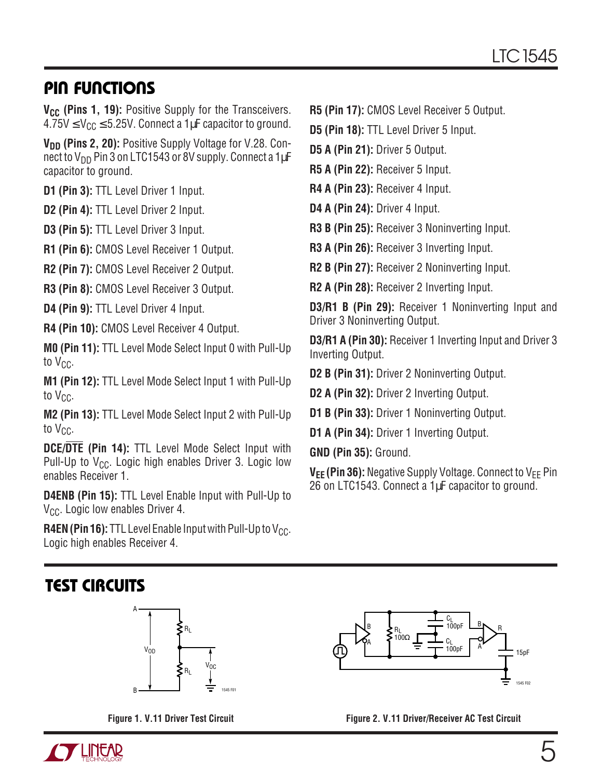## **PIN FUNCTIONS**

**V<sub>CC</sub>** (Pins 1, 19): Positive Supply for the Transceivers.  $4.75V \leq V_{CC} \leq 5.25V$ . Connect a 1µF capacitor to ground.

**V<sub>DD</sub>** (Pins 2, 20): Positive Supply Voltage for V.28. Connect to  $V_{DD}$  Pin 3 on LTC1543 or 8V supply. Connect a 1 $\mu$ F capacitor to ground.

**D1 (Pin 3):** TTL Level Driver 1 Input.

**D2 (Pin 4):** TTL Level Driver 2 Input.

**D3 (Pin 5):** TTL Level Driver 3 Input.

**R1 (Pin 6):** CMOS Level Receiver 1 Output.

**R2 (Pin 7):** CMOS Level Receiver 2 Output.

**R3 (Pin 8):** CMOS Level Receiver 3 Output.

**D4 (Pin 9):** TTL Level Driver 4 Input.

**R4 (Pin 10):** CMOS Level Receiver 4 Output.

**M0 (Pin 11):** TTL Level Mode Select Input 0 with Pull-Up to  $V_{CC}$ .

**M1 (Pin 12):** TTL Level Mode Select Input 1 with Pull-Up to  $V_{CC}$ .

**M2 (Pin 13):** TTL Level Mode Select Input 2 with Pull-Up to  $V_{CC}$ .

**DCE/DTE (Pin 14):** TTL Level Mode Select Input with Pull-Up to  $V_{CC}$ . Logic high enables Driver 3. Logic low enables Receiver 1.

**D4ENB (Pin 15):** TTL Level Enable Input with Pull-Up to V<sub>CC</sub>. Logic low enables Driver 4.

**R4EN (Pin 16):** TTL Level Enable Input with Pull-Up to  $V_{CC}$ . Logic high enables Receiver 4.

#### **R5 (Pin 17):** CMOS Level Receiver 5 Output.

**D5 (Pin 18):** TTL Level Driver 5 Input.

**D5 A (Pin 21):** Driver 5 Output.

**R5 A (Pin 22):** Receiver 5 Input.

**R4 A (Pin 23):** Receiver 4 Input.

**D4 A (Pin 24):** Driver 4 Input.

**R3 B (Pin 25):** Receiver 3 Noninverting Input.

**R3 A (Pin 26):** Receiver 3 Inverting Input.

**R2 B (Pin 27):** Receiver 2 Noninverting Input.

**R2 A (Pin 28):** Receiver 2 Inverting Input.

**D3/R1 B (Pin 29):** Receiver 1 Noninverting Input and Driver 3 Noninverting Output.

**D3/R1 A (Pin 30):** Receiver 1 Inverting Input and Driver 3 Inverting Output.

**D2 B (Pin 31):** Driver 2 Noninverting Output.

**D2 A (Pin 32):** Driver 2 Inverting Output.

**D1 B (Pin 33):** Driver 1 Noninverting Output.

**D1 A (Pin 34): Driver 1 Inverting Output.** 

**GND (Pin 35):** Ground.

**V<sub>EE</sub>** (Pin 36): Negative Supply Voltage. Connect to V<sub>FF</sub> Pin 26 on LTC1543. Connect a 1µF capacitor to ground.

## **TEST CIRCUITS**

![](_page_4_Figure_37.jpeg)

![](_page_4_Figure_38.jpeg)

![](_page_4_Figure_39.jpeg)

**Figure 1. V.11 Driver Test Circuit Figure 2. V.11 Driver/Receiver AC Test Circuit**

![](_page_4_Picture_41.jpeg)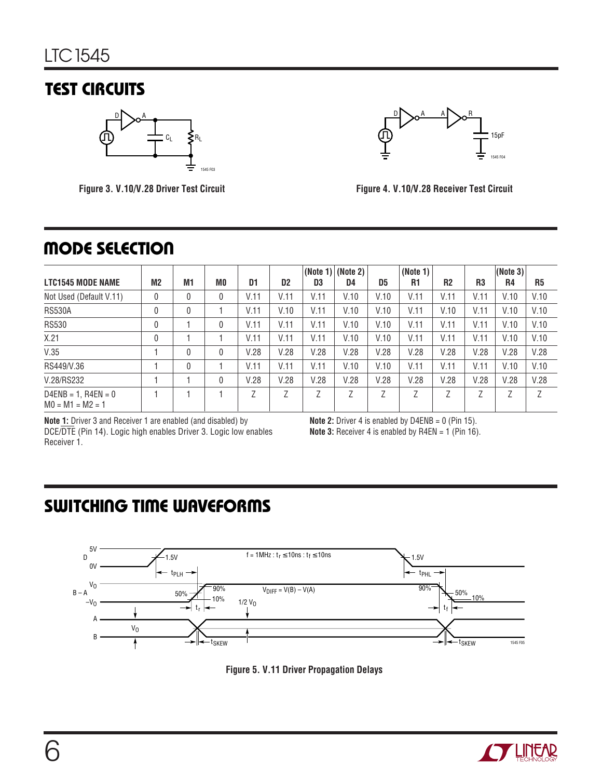## **TEST CIRCUITS**

![](_page_5_Figure_2.jpeg)

**Figure 3. V.10/V.28 Driver Test Circuit**

![](_page_5_Figure_4.jpeg)

**Figure 4. V.10/V.28 Receiver Test Circuit**

## **MODE SELECTION**

|                                             |                |                |    |      |                |      | $ $ (Note 1) $ $ (Note 2) $ $ |                | (Note 1) |                |                | (Note 3) |                |
|---------------------------------------------|----------------|----------------|----|------|----------------|------|-------------------------------|----------------|----------|----------------|----------------|----------|----------------|
| <b>LTC1545 MODE NAME</b>                    | M <sub>2</sub> | M <sub>1</sub> | M0 | D1   | D <sub>2</sub> | D3   | D4                            | D <sub>5</sub> | R1       | R <sub>2</sub> | R <sub>3</sub> | R4       | R <sub>5</sub> |
| Not Used (Default V.11)                     | 0              | 0              |    | V.11 | V.11           | V.11 | V.10                          | V.10           | V.11     | V.11           | V.11           | V.10     | V.10           |
| <b>RS530A</b>                               | 0              | $\mathbf{0}$   |    | V.11 | V.10           | V.11 | V.10                          | V.10           | V.11     | V.10           | V.11           | V.10     | V.10           |
| <b>RS530</b>                                | 0              |                |    | V.11 | V.11           | V.11 | V.10                          | V.10           | V.11     | V.11           | V.11           | V.10     | V.10           |
| X.21                                        | 0              |                |    | V.11 | V.11           | V.11 | V.10                          | V.10           | V.11     | V.11           | V.11           | V.10     | V.10           |
| V.35                                        |                | 0              |    | V.28 | V.28           | V.28 | V.28                          | V.28           | V.28     | V.28           | V.28           | V.28     | V.28           |
| RS449/V.36                                  |                | 0              |    | V.11 | V.11           | V.11 | V.10                          | V.10           | V.11     | V.11           | V.11           | V.10     | V.10           |
| V.28/RS232                                  |                |                |    | V.28 | V.28           | V.28 | V.28                          | V.28           | V.28     | V.28           | V.28           | V.28     | V.28           |
| $D4ENB = 1, R4EN = 0$<br>$MO = M1 = M2 = 1$ |                |                |    | 7    | Z              | 7    | 7                             | Ζ              | 7        | 7              | 7              | Z        | 7              |

**Note 1:** Driver 3 and Receiver 1 are enabled (and disabled) by DCE/DTE (Pin 14). Logic high enables Driver 3. Logic low enables Receiver 1.

**Note 2:** Driver 4 is enabled by D4ENB = 0 (Pin 15). **Note 3:** Receiver 4 is enabled by R4EN = 1 (Pin 16).

## **SWITCHING TIME WAVEFORMS**

![](_page_5_Figure_11.jpeg)

![](_page_5_Figure_12.jpeg)

![](_page_5_Picture_13.jpeg)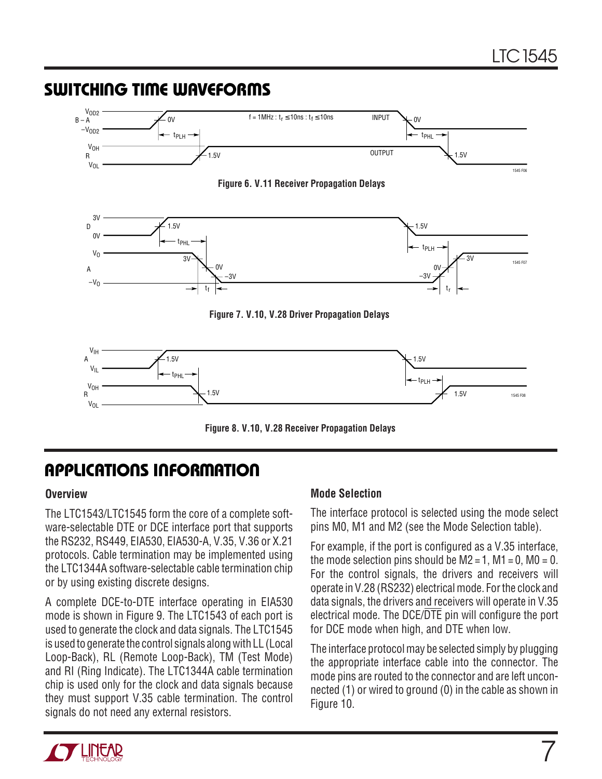#### **SWITCHING TIME WAVEFORMS Figure 6. V.11 Receiver Propagation Delays**  $V_{\text{IH}}$  $V_{IL}$  $-1.5V$ 1.5V 1.5V 1.5V tPHL **V<sub>OH</sub> V<sub>OL</sub>** A R tPLH 1545 F08 3V  $0V$ 1.5V 0V –3V  $\overline{3V}$ 1.5V 0V 3V –3V tPHL t<sub>f</sub> VO  $-V<sub>0</sub>$  $\overline{D}$ A tPLH t<sub>r</sub> 1545 F07 **Figure 7. V.10, V.28 Driver Propagation Delays** V<sub>OD2</sub>  $-V<sub>OD2</sub>$ 0V  $-1.5V$  $0V$ 1.5V tPLH VOH VOL  $B - A$ R tPHL 1545 F06  $f = 1$ MHz :  $t_r \le 10$ ns :  $t_f \le 10$ ns INPUT **OUTPUT**

**Figure 8. V.10, V.28 Receiver Propagation Delays**

# **APPLICATIONS INFORMATION U W U U**

#### **Overview**

The LTC1543/LTC1545 form the core of a complete software-selectable DTE or DCE interface port that supports the RS232, RS449, EIA530, EIA530-A, V.35, V.36 or X.21 protocols. Cable termination may be implemented using the LTC1344A software-selectable cable termination chip or by using existing discrete designs.

A complete DCE-to-DTE interface operating in EIA530 mode is shown in Figure 9. The LTC1543 of each port is used to generate the clock and data signals. The LTC1545 is used to generate the control signals along with LL (Local Loop-Back), RL (Remote Loop-Back), TM (Test Mode) and RI (Ring Indicate). The LTC1344A cable termination chip is used only for the clock and data signals because they must support V.35 cable termination. The control signals do not need any external resistors.

#### **Mode Selection**

The interface protocol is selected using the mode select pins M0, M1 and M2 (see the Mode Selection table).

For example, if the port is configured as a V.35 interface, the mode selection pins should be  $M2 = 1$ ,  $M1 = 0$ ,  $M0 = 0$ . For the control signals, the drivers and receivers will operate in V.28 (RS232) electrical mode. For the clock and data signals, the drivers and receivers will operate in V.35 electrical mode. The DCE/DTE pin will configure the port for DCE mode when high, and DTE when low.

The interface protocol may be selected simply by plugging the appropriate interface cable into the connector. The mode pins are routed to the connector and are left unconnected (1) or wired to ground (0) in the cable as shown in Figure 10.

![](_page_6_Picture_11.jpeg)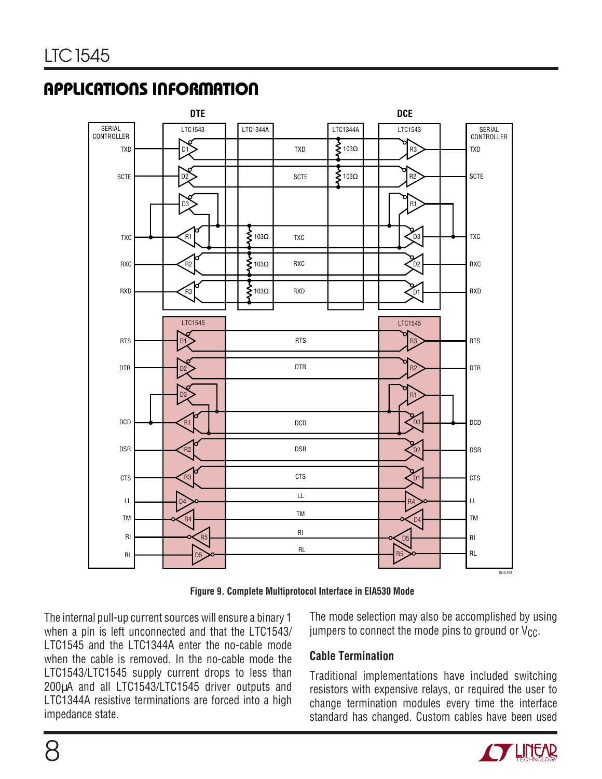![](_page_7_Figure_2.jpeg)

**Figure 9. Complete Multiprotocol Interface in EIA530 Mode**

The internal pull-up current sources will ensure a binary 1 when a pin is left unconnected and that the LTC1543/ LTC1545 and the LTC1344A enter the no-cable mode when the cable is removed. In the no-cable mode the LTC1543/LTC1545 supply current drops to less than 200µA and all LTC1543/LTC1545 driver outputs and LTC1344A resistive terminations are forced into a high impedance state.

The mode selection may also be accomplished by using jumpers to connect the mode pins to ground or  $V_{CC}$ .

#### **Cable Termination**

Traditional implementations have included switching resistors with expensive relays, or required the user to change termination modules every time the interface standard has changed. Custom cables have been used

![](_page_7_Picture_8.jpeg)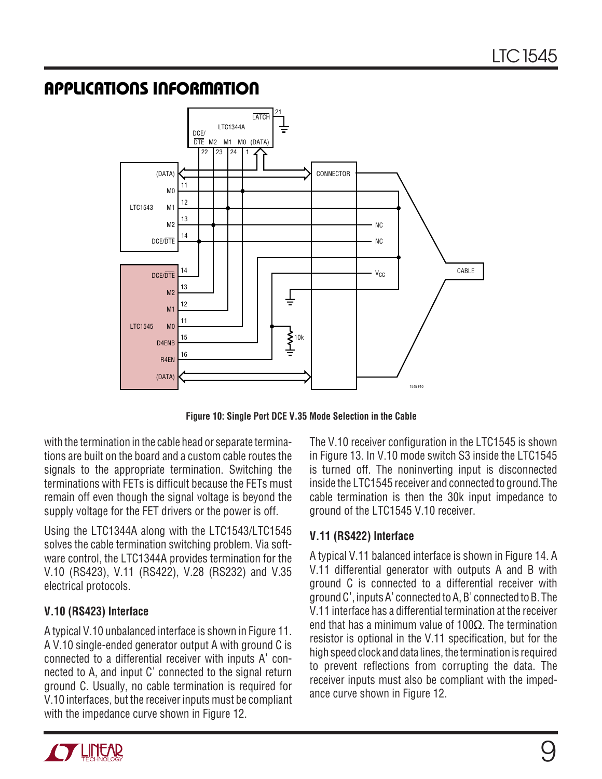![](_page_8_Figure_2.jpeg)

**Figure 10: Single Port DCE V.35 Mode Selection in the Cable**

with the termination in the cable head or separate terminations are built on the board and a custom cable routes the signals to the appropriate termination. Switching the terminations with FETs is difficult because the FETs must remain off even though the signal voltage is beyond the supply voltage for the FET drivers or the power is off.

Using the LTC1344A along with the LTC1543/LTC1545 solves the cable termination switching problem. Via software control, the LTC1344A provides termination for the V.10 (RS423), V.11 (RS422), V.28 (RS232) and V.35 electrical protocols.

#### **V.10 (RS423) Interface**

A typical V.10 unbalanced interface is shown in Figure 11. A V.10 single-ended generator output A with ground C is connected to a differential receiver with inputs A' connected to A, and input C' connected to the signal return ground C. Usually, no cable termination is required for V.10 interfaces, but the receiver inputs must be compliant with the impedance curve shown in Figure 12.

The V.10 receiver configuration in the LTC1545 is shown in Figure 13. In V.10 mode switch S3 inside the LTC1545 is turned off. The noninverting input is disconnected inside the LTC1545 receiver and connected to ground.The cable termination is then the 30k input impedance to ground of the LTC1545 V.10 receiver.

#### **V.11 (RS422) Interface**

A typical V.11 balanced interface is shown in Figure 14. A V.11 differential generator with outputs A and B with ground C is connected to a differential receiver with ground C', inputs A' connected to A, B' connected to B. The V.11 interface has a differential termination at the receiver end that has a minimum value of 100Ω. The termination resistor is optional in the V.11 specification, but for the high speed clock and data lines, the termination is required to prevent reflections from corrupting the data. The receiver inputs must also be compliant with the impedance curve shown in Figure 12.

![](_page_8_Picture_11.jpeg)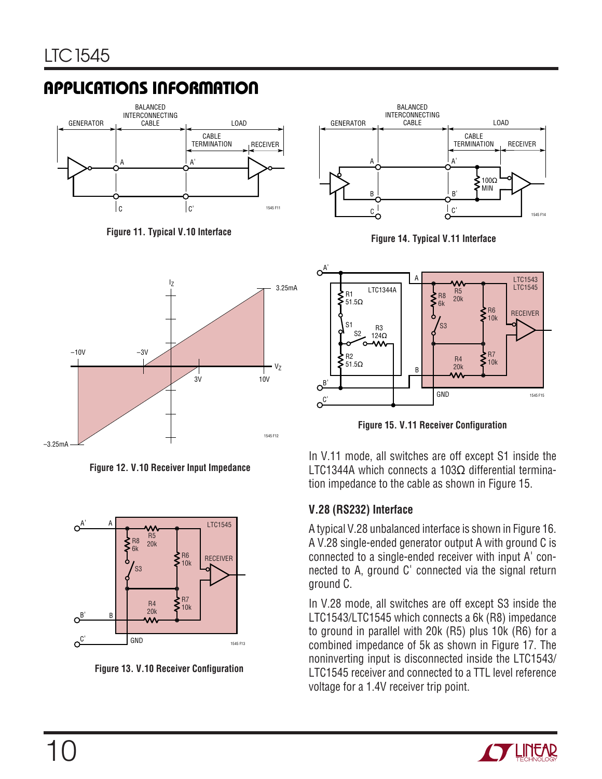![](_page_9_Figure_2.jpeg)

**Figure 11. Typical V.10 Interface**

![](_page_9_Figure_4.jpeg)

**Figure 12. V.10 Receiver Input Impedance**

![](_page_9_Figure_6.jpeg)

**Figure 13. V.10 Receiver Configuration**

![](_page_9_Figure_8.jpeg)

**Figure 14. Typical V.11 Interface**

![](_page_9_Figure_10.jpeg)

**Figure 15. V.11 Receiver Configuration**

In V.11 mode, all switches are off except S1 inside the LTC1344A which connects a 103Ω differential termination impedance to the cable as shown in Figure 15.

#### **V.28 (RS232) Interface**

A typical V.28 unbalanced interface is shown in Figure 16. A V.28 single-ended generator output A with ground C is connected to a single-ended receiver with input A' connected to A, ground C' connected via the signal return ground C.

In V.28 mode, all switches are off except S3 inside the LTC1543/LTC1545 which connects a 6k (R8) impedance to ground in parallel with 20k (R5) plus 10k (R6) for a combined impedance of 5k as shown in Figure 17. The noninverting input is disconnected inside the LTC1543/ LTC1545 receiver and connected to a TTL level reference voltage for a 1.4V receiver trip point.

![](_page_9_Picture_16.jpeg)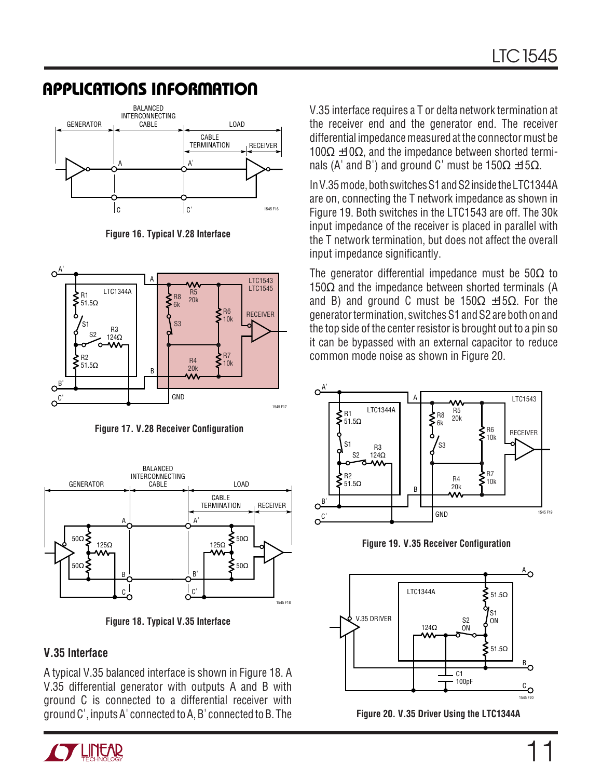![](_page_10_Figure_2.jpeg)

**Figure 16. Typical V.28 Interface**

![](_page_10_Figure_4.jpeg)

**Figure 17. V.28 Receiver Configuration**

![](_page_10_Figure_6.jpeg)

**Figure 18. Typical V.35 Interface**

#### **V.35 Interface**

A typical V.35 balanced interface is shown in Figure 18. A V.35 differential generator with outputs A and B with ground C is connected to a differential receiver with ground C', inputs A' connected to A, B' connected to B. The

![](_page_10_Picture_10.jpeg)

V.35 interface requires a T or delta network termination at the receiver end and the generator end. The receiver differential impedance measured at the connector must be  $100Ω ±10Ω$ , and the impedance between shorted terminals (A' and B') and ground C' must be  $150\Omega \pm 15\Omega$ .

In V.35 mode, both switches S1 and S2 inside the LTC1344A are on, connecting the T network impedance as shown in Figure 19. Both switches in the LTC1543 are off. The 30k input impedance of the receiver is placed in parallel with the T network termination, but does not affect the overall input impedance significantly.

The generator differential impedance must be  $50\Omega$  to 150 $Ω$  and the impedance between shorted terminals (A and B) and ground C must be  $150\Omega \pm 15\Omega$ . For the generator termination, switches S1 and S2 are both on and the top side of the center resistor is brought out to a pin so it can be bypassed with an external capacitor to reduce common mode noise as shown in Figure 20.

![](_page_10_Figure_14.jpeg)

![](_page_10_Figure_15.jpeg)

![](_page_10_Figure_16.jpeg)

![](_page_10_Figure_17.jpeg)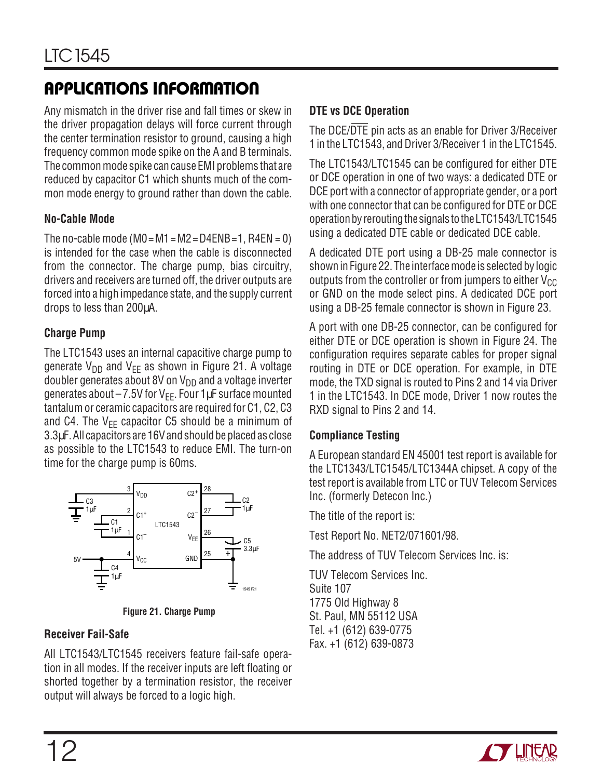Any mismatch in the driver rise and fall times or skew in the driver propagation delays will force current through the center termination resistor to ground, causing a high frequency common mode spike on the A and B terminals. The common mode spike can cause EMI problems that are reduced by capacitor C1 which shunts much of the common mode energy to ground rather than down the cable.

#### **No-Cable Mode**

The no-cable mode (M0 = M1 = M2 = D4ENB = 1, R4EN = 0) is intended for the case when the cable is disconnected from the connector. The charge pump, bias circuitry, drivers and receivers are turned off, the driver outputs are forced into a high impedance state, and the supply current drops to less than 200µA.

#### **Charge Pump**

The LTC1543 uses an internal capacitive charge pump to generate  $V_{DD}$  and  $V_{EE}$  as shown in Figure 21. A voltage doubler generates about 8V on  $V_{DD}$  and a voltage inverter generates about  $-7.5V$  for  $V_{FF}$ . Four 1 $\mu$ F surface mounted tantalum or ceramic capacitors are required for C1, C2, C3 and C4. The  $V_{FF}$  capacitor C5 should be a minimum of 3.3µF. All capacitors are 16V and should be placed as close as possible to the LTC1543 to reduce EMI. The turn-on time for the charge pump is 60ms.

![](_page_11_Figure_7.jpeg)

**Figure 21. Charge Pump**

#### **Receiver Fail-Safe**

All LTC1543/LTC1545 receivers feature fail-safe operation in all modes. If the receiver inputs are left floating or shorted together by a termination resistor, the receiver output will always be forced to a logic high.

#### **DTE vs DCE Operation**

The DCE/DTE pin acts as an enable for Driver 3/Receiver 1 in the LTC1543, and Driver 3/Receiver 1 in the LTC1545.

The LTC1543/LTC1545 can be configured for either DTE or DCE operation in one of two ways: a dedicated DTE or DCE port with a connector of appropriate gender, or a port with one connector that can be configured for DTE or DCE operation by rerouting the signals to the LTC1543/LTC1545 using a dedicated DTE cable or dedicated DCE cable.

A dedicated DTE port using a DB-25 male connector is shown in Figure 22. The interface mode is selected by logic outputs from the controller or from jumpers to either  $V_{CC}$ or GND on the mode select pins. A dedicated DCE port using a DB-25 female connector is shown in Figure 23.

A port with one DB-25 connector, can be configured for either DTE or DCE operation is shown in Figure 24. The configuration requires separate cables for proper signal routing in DTE or DCE operation. For example, in DTE mode, the TXD signal is routed to Pins 2 and 14 via Driver 1 in the LTC1543. In DCE mode, Driver 1 now routes the RXD signal to Pins 2 and 14.

#### **Compliance Testing**

A European standard EN 45001 test report is available for the LTC1343/LTC1545/LTC1344A chipset. A copy of the test report is available from LTC or TUV Telecom Services Inc. (formerly Detecon Inc.)

The title of the report is:

Test Report No. NET2/071601/98.

The address of TUV Telecom Services Inc. is:

TUV Telecom Services Inc. Suite 107 1775 Old Highway 8 St. Paul, MN 55112 USA Tel. +1 (612) 639-0775 Fax. +1 (612) 639-0873

![](_page_11_Picture_22.jpeg)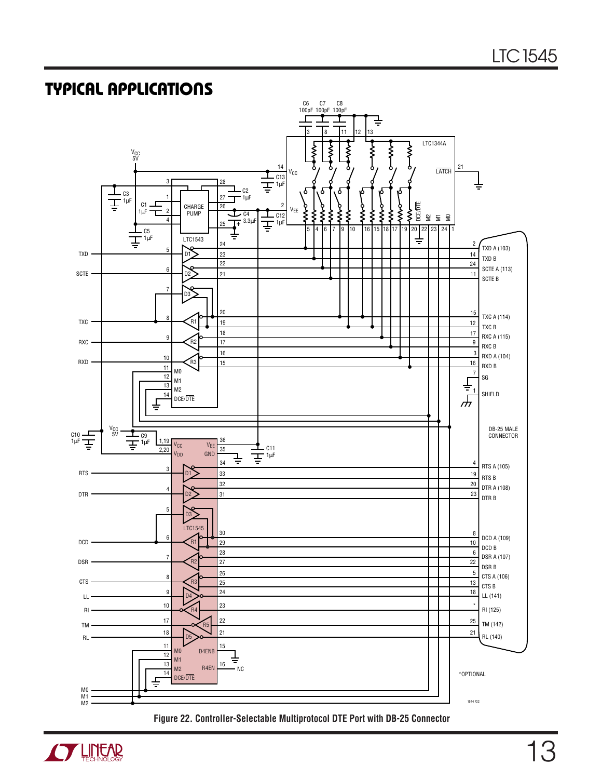## **TYPICAL APPLICATIONS U**

![](_page_12_Figure_2.jpeg)

![](_page_12_Figure_3.jpeg)

![](_page_12_Picture_4.jpeg)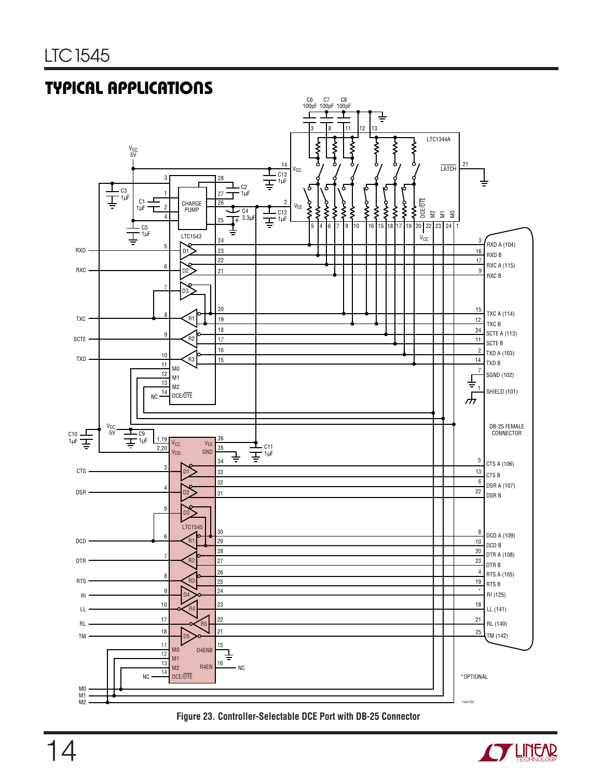## **TYPICAL APPLICATIONS U**

![](_page_13_Figure_2.jpeg)

#### **Figure 23. Controller-Selectable DCE Port with DB-25 Connector**

![](_page_13_Picture_4.jpeg)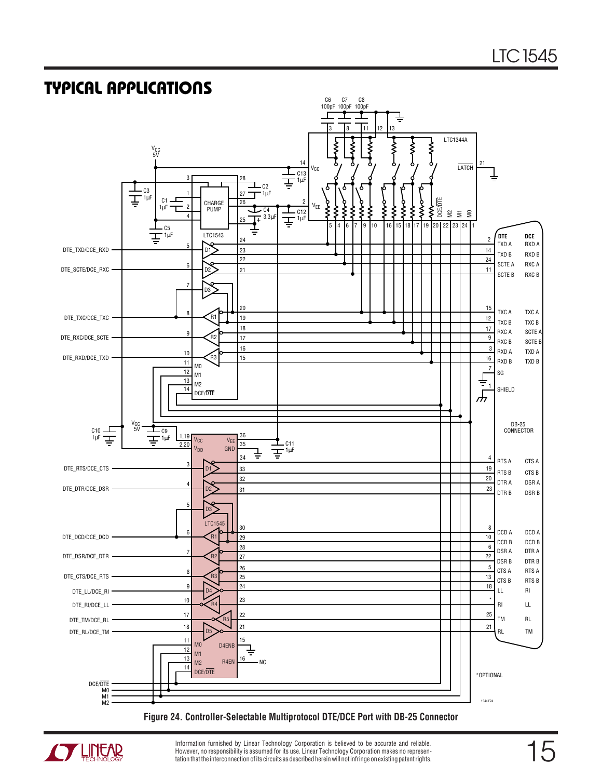## **TYPICAL APPLICATIONS U**

![](_page_14_Figure_2.jpeg)

#### **Figure 24. Controller-Selectable Multiprotocol DTE/DCE Port with DB-25 Connector**

![](_page_14_Picture_4.jpeg)